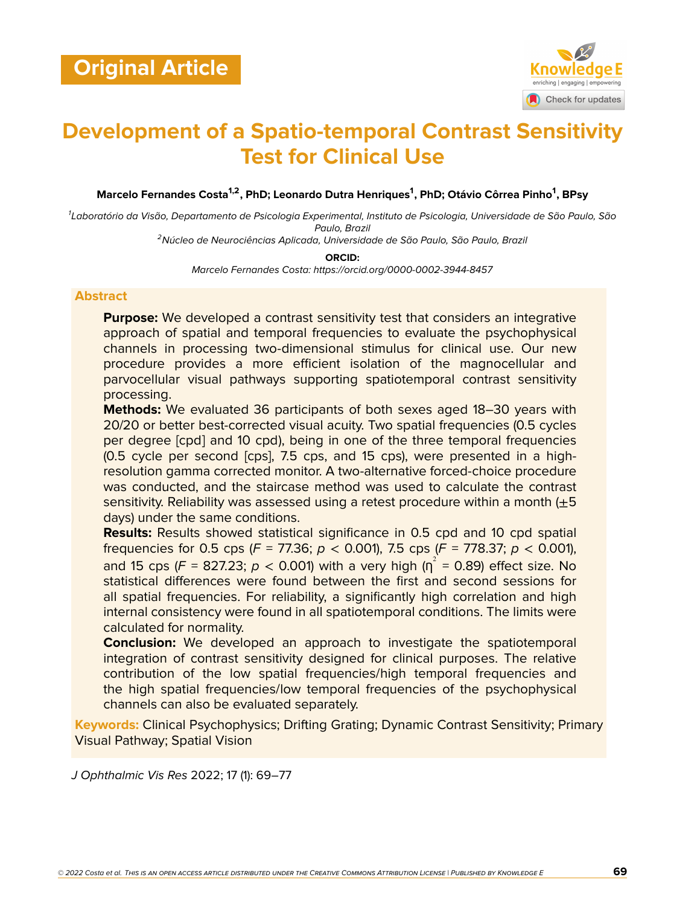

# **Development of a Spatio-temporal Contrast Sensitivity Test for Clinical Use**

**Marcelo Fernandes Costa1,2, PhD; Leonardo Dutra Henriques<sup>1</sup> , PhD; Otávio Côrrea Pinho<sup>1</sup> , BPsy**

*1 Laboratório da Visão, Departamento de Psicologia Experimental, Instituto de Psicologia, Universidade de São Paulo, São Paulo, Brazil*

*<sup>2</sup>Núcleo de Neurociências Aplicada, Universidade de São Paulo, São Paulo, Brazil*

**ORCID:**

*Marcelo Fernandes Costa: https://orcid.org/0000-0002-3944-8457*

#### **Abstract**

**Purpose:** We developed a contrast sensitivity test that considers an integrative approach of spatial and temporal frequencies to evaluate the psychophysical channels in processing two-dimensional stimulus for clinical use. Our new procedure provides a more efficient isolation of the magnocellular and parvocellular visual pathways supporting spatiotemporal contrast sensitivity processing.

**Methods:** We evaluated 36 participants of both sexes aged 18–30 years with 20/20 or better best-corrected visual acuity. Two spatial frequencies (0.5 cycles per degree [cpd] and 10 cpd), being in one of the three temporal frequencies (0.5 cycle per second [cps], 7.5 cps, and 15 cps), were presented in a highresolution gamma corrected monitor. A two-alternative forced-choice procedure was conducted, and the staircase method was used to calculate the contrast sensitivity. Reliability was assessed using a retest procedure within a month  $(+5)$ days) under the same conditions.

**Results:** Results showed statistical significance in 0.5 cpd and 10 cpd spatial frequencies for 0.5 cps (*F* = 77.36; *p* < 0.001), 7.5 cps (*F* = 778.37; *p* < 0.001), and 15 cps (F = 827.23;  $p <$  0.001) with a very high ( $\eta^2$  = 0.89) effect size. No statistical differences were found between the first and second sessions for all spatial frequencies. For reliability, a significantly high correlation and high internal consistency were found in all spatiotemporal conditions. The limits were calculated for normality.

**Conclusion:** We developed an approach to investigate the spatiotemporal integration of contrast sensitivity designed for clinical purposes. The relative contribution of the low spatial frequencies/high temporal frequencies and the high spatial frequencies/low temporal frequencies of the psychophysical channels can also be evaluated separately.

**Keywords:** Clinical Psychophysics; Drifting Grating; Dynamic Contrast Sensitivity; Primary Visual Pathway; Spatial Vision

*J Ophthalmic Vis Res* 2022; 17 (1): 69–77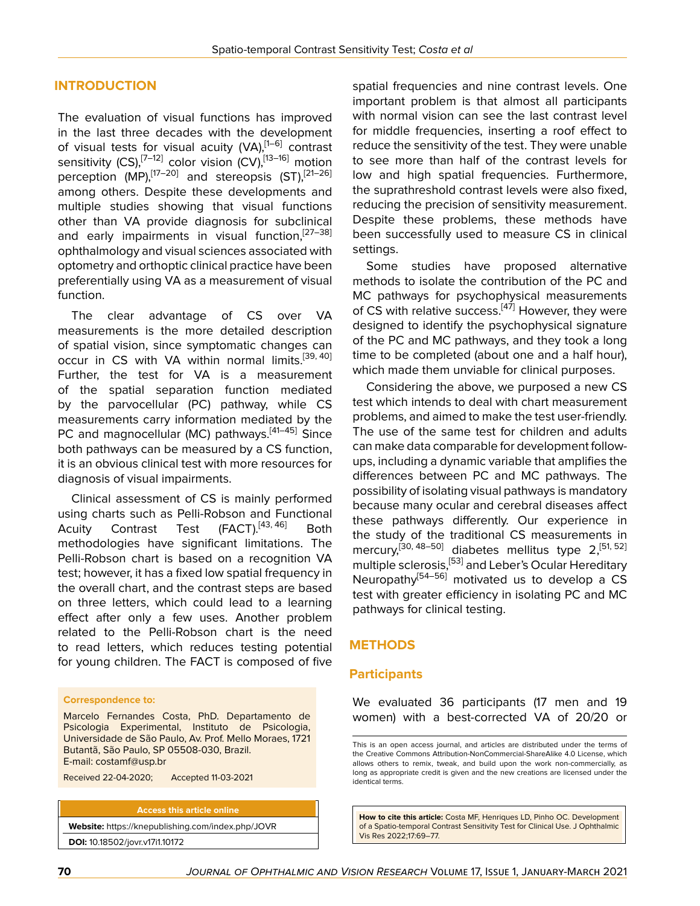### **INTRODUCTION**

The evaluation of visual functions has improved in the last three decades with the development of visual tests for visual acuity (VA), [\[1](#page-7-0)-6] contrast sensitivity (CS),<sup>[\[7](#page-7-2)–[12\]](#page-7-3)</sup> color vision (CV),<sup>[\[13](#page-7-4)–[16\]](#page-7-5)</sup> motion perception (MP),<sup>[[17](#page-7-6)[–20](#page-7-7)]</sup> and stereopsis (ST),<sup>[[21–](#page-7-8)[26](#page-7-9)]</sup> among others. Despite these developments and multiple studies showing that visual functions other than VA provide diagnosis for subclinical and early impairments in visual function,<sup>[[27](#page-7-10)–[38](#page-8-0)]</sup> ophthalmology and visual sciences associated with optometry and orthoptic clinical practice have been preferentially using VA as a measurement of visual function.

The clear advantage of CS over VA measurements is the more detailed description of spatial vision, since symptomatic changes can occur in CS with VA within normal limits.<sup>[[39,](#page-8-1) [40](#page-8-2)]</sup> Further, the test for VA is a measurement of the spatial separation function mediated by the parvocellular (PC) pathway, while CS measurements carry information mediated by the PC and magnocellular (MC) pathways.<sup>[[41–](#page-8-3)[45\]](#page-8-4)</sup> Since both pathways can be measured by a CS function, it is an obvious clinical test with more resources for diagnosis of visual impairments.

Clinical assessment of CS is mainly performed using charts such as Pelli-Robson and Functional Acuity Contrast Test (FACT).<sup>[[43,](#page-8-5) [46](#page-8-6)]</sup> Both methodologies have significant limitations. The Pelli-Robson chart is based on a recognition VA test; however, it has a fixed low spatial frequency in the overall chart, and the contrast steps are based on three letters, which could lead to a learning effect after only a few uses. Another problem related to the Pelli-Robson chart is the need to read letters, which reduces testing potential for young children. The FACT is composed of five

#### **Correspondence to:**

Marcelo Fernandes Costa, PhD. Departamento de Psicologia Experimental, Instituto de Psicologia, Universidade de São Paulo, Av. Prof. Mello Moraes, 1721 Butantã, São Paulo, SP 05508-030, Brazil. E-mail: costamf@usp.br

Received 22-04-2020; Accepted 11-03-2021

**DOI:** 10.18502/jovr.v17i1.10172

**Access this article online Website:** <https://knepublishing.com/index.php/JOVR> spatial frequencies and nine contrast levels. One important problem is that almost all participants with normal vision can see the last contrast level for middle frequencies, inserting a roof effect to reduce the sensitivity of the test. They were unable to see more than half of the contrast levels for low and high spatial frequencies. Furthermore, the suprathreshold contrast levels were also fixed, reducing the precision of sensitivity measurement. Despite these problems, these methods have been successfully used to measure CS in clinical settings.

Some studies have proposed alternative methods to isolate the contribution of the PC and MC pathways for psychophysical measurements of CS with relative success.<sup>[\[47\]](#page-8-7)</sup> However, they were designed to identify the psychophysical signature of the PC and MC pathways, and they took a long time to be completed (about one and a half hour), which made them unviable for clinical purposes.

Considering the above, we purposed a new CS test which intends to deal with chart measurement problems, and aimed to make the test user-friendly. The use of the same test for children and adults can make data comparable for development followups, including a dynamic variable that amplifies the differences between PC and MC pathways. The possibility of isolating visual pathways is mandatory because many ocular and cerebral diseases affect these pathways differently. Our experience in the study of the traditional CS measurements in mercury,<sup>[[30,](#page-8-8) [48](#page-8-9)-[50](#page-8-10)]</sup> diabetes mellitus type 2,<sup>[\[51,](#page-8-11) [52](#page-8-12)]</sup> multiple sclerosis,[\[53](#page-8-13)] and Leber's Ocular Hereditary Neuropathy<sup>[[54](#page-8-14)[–56](#page-8-15)]</sup> motivated us to develop a CS test with greater efficiency in isolating PC and MC pathways for clinical testing.

#### **METHODS**

#### **Participants**

We evaluated 36 participants (17 men and 19 women) with a best-corrected VA of 20/20 or

**How to cite this article:** Costa MF, Henriques LD, Pinho OC. Development of a Spatio-temporal Contrast Sensitivity Test for Clinical Use. J Ophthalmic Vis Res 2022;17:69–77.

This is an open access journal, and articles are distributed under the terms of the Creative Commons Attribution-NonCommercial-ShareAlike 4.0 License, which allows others to remix, tweak, and build upon the work non-commercially, as long as appropriate credit is given and the new creations are licensed under the identical terms.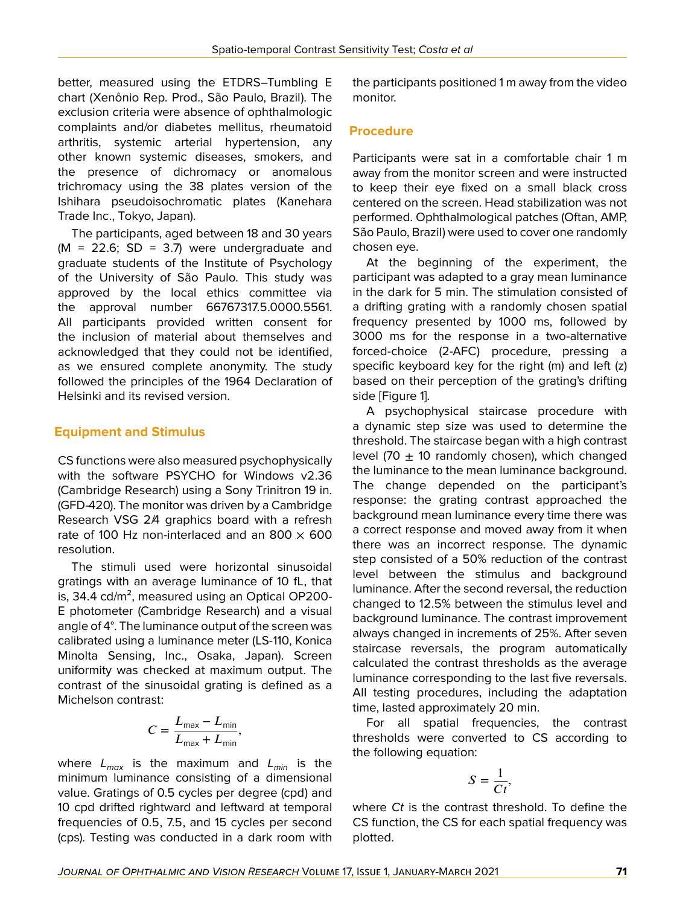better, measured using the ETDRS–Tumbling E chart (Xenônio Rep. Prod., São Paulo, Brazil). The exclusion criteria were absence of ophthalmologic complaints and/or diabetes mellitus, rheumatoid arthritis, systemic arterial hypertension, any other known systemic diseases, smokers, and the presence of dichromacy or anomalous trichromacy using the 38 plates version of the Ishihara pseudoisochromatic plates (Kanehara Trade Inc., Tokyo, Japan).

The participants, aged between 18 and 30 years  $(M = 22.6; SD = 3.7)$  were undergraduate and graduate students of the Institute of Psychology of the University of São Paulo. This study was approved by the local ethics committee via the approval number 66767317.5.0000.5561. All participants provided written consent for the inclusion of material about themselves and acknowledged that they could not be identified, as we ensured complete anonymity. The study followed the principles of the 1964 Declaration of Helsinki and its revised version.

# **Equipment and Stimulus**

CS functions were also measured psychophysically with the software PSYCHO for Windows v2.36 (Cambridge Research) using a Sony Trinitron 19 in. (GFD-420). The monitor was driven by a Cambridge Research VSG 2/4 graphics board with a refresh rate of 100 Hz non-interlaced and an 800  $\times$  600 resolution.

The stimuli used were horizontal sinusoidal gratings with an average luminance of 10 fL, that is, 34.4  $\text{cd/m}^2$ , measured using an Optical OP200-E photometer (Cambridge Research) and a visual angle of 4°. The luminance output of the screen was calibrated using a luminance meter (LS-110, Konica Minolta Sensing, Inc., Osaka, Japan). Screen uniformity was checked at maximum output. The contrast of the sinusoidal grating is defined as a Michelson contrast:

$$
C = \frac{L_{\text{max}} - L_{\text{min}}}{L_{\text{max}} + L_{\text{min}}},
$$

where *Lmax* is the maximum and *Lmin* is the minimum luminance consisting of a dimensional value. Gratings of 0.5 cycles per degree (cpd) and 10 cpd drifted rightward and leftward at temporal frequencies of 0.5, 7.5, and 15 cycles per second (cps). Testing was conducted in a dark room with

the participants positioned 1 m away from the video monitor.

#### **Procedure**

Participants were sat in a comfortable chair 1 m away from the monitor screen and were instructed to keep their eye fixed on a small black cross centered on the screen. Head stabilization was not performed. Ophthalmological patches (Oftan, AMP, São Paulo, Brazil) were used to cover one randomly chosen eye.

At the beginning of the experiment, the participant was adapted to a gray mean luminance in the dark for 5 min. The stimulation consisted of a drifting grating with a randomly chosen spatial frequency presented by 1000 ms, followed by 3000 ms for the response in a two-alternative forced-choice (2-AFC) procedure, pressing a specific keyboard key for the right (m) and left (z) based on their perception of the grating's drifting side [Figure 1].

A psychophysical staircase procedure with a dynamic step size was used to determine the threshold. The staircase began with a high contrast level (70  $\pm$  10 randomly chosen), which changed the luminance to the mean luminance background. The change depended on the participant's response: the grating contrast approached the background mean luminance every time there was a correct response and moved away from it when there was an incorrect response. The dynamic step consisted of a 50% reduction of the contrast level between the stimulus and background luminance. After the second reversal, the reduction changed to 12.5% between the stimulus level and background luminance. The contrast improvement always changed in increments of 25%. After seven staircase reversals, the program automatically calculated the contrast thresholds as the average luminance corresponding to the last five reversals. All testing procedures, including the adaptation time, lasted approximately 20 min.

For all spatial frequencies, the contrast thresholds were converted to CS according to the following equation:

$$
S=\frac{1}{Ct},
$$

where *Ct* is the contrast threshold. To define the CS function, the CS for each spatial frequency was plotted.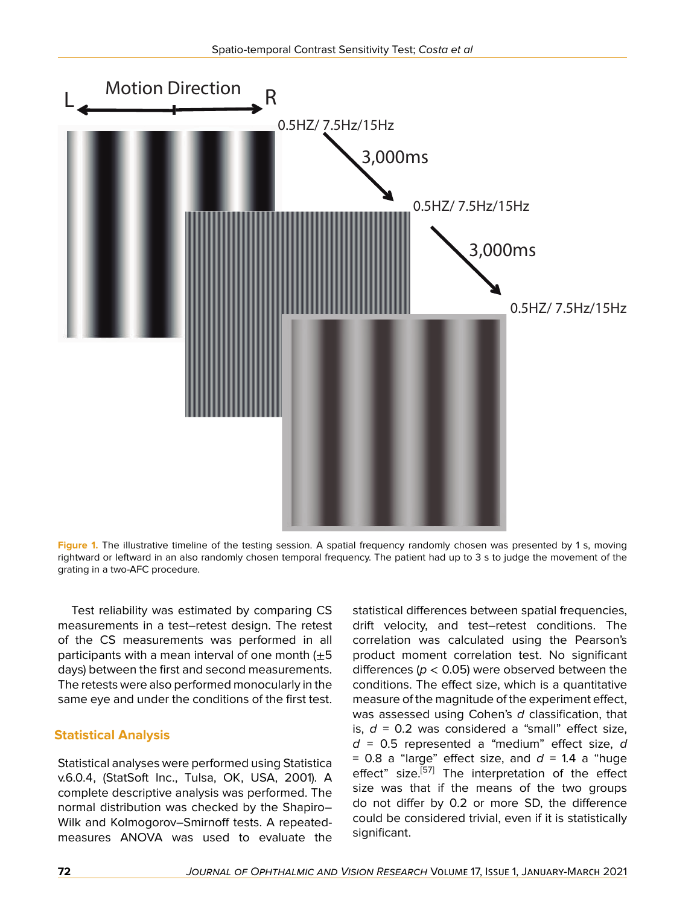

**Figure 1.** The illustrative timeline of the testing session. A spatial frequency randomly chosen was presented by 1 s, moving rightward or leftward in an also randomly chosen temporal frequency. The patient had up to 3 s to judge the movement of the grating in a two-AFC procedure.

Test reliability was estimated by comparing CS measurements in a test–retest design. The retest of the CS measurements was performed in all participants with a mean interval of one month  $(\pm 5)$ days) between the first and second measurements. The retests were also performed monocularly in the same eye and under the conditions of the first test.

# **Statistical Analysis**

Statistical analyses were performed using Statistica v.6.0.4, (StatSoft Inc., Tulsa, OK, USA, 2001). A complete descriptive analysis was performed. The normal distribution was checked by the Shapiro– Wilk and Kolmogorov–Smirnoff tests. A repeatedmeasures ANOVA was used to evaluate the

statistical differences between spatial frequencies, drift velocity, and test–retest conditions. The correlation was calculated using the Pearson's product moment correlation test. No significant differences (*p* < 0.05) were observed between the conditions. The effect size, which is a quantitative measure of the magnitude of the experiment effect, was assessed using Cohen's *d* classification, that is,  $d = 0.2$  was considered a "small" effect size, *d* = 0.5 represented a "medium" effect size, *d*  $= 0.8$  a "large" effect size, and  $d = 1.4$  a "huge effect" size.<sup>[[57](#page-8-16)]</sup> The interpretation of the effect size was that if the means of the two groups do not differ by 0.2 or more SD, the difference could be considered trivial, even if it is statistically significant.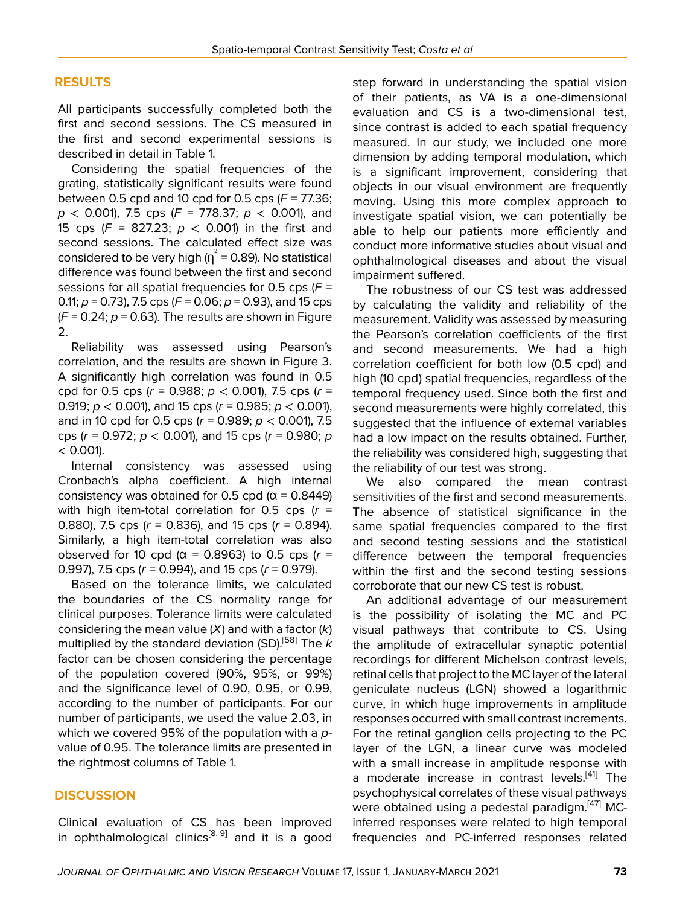# **RESULTS**

All participants successfully completed both the first and second sessions. The CS measured in the first and second experimental sessions is described in detail in Table 1.

Considering the spatial frequencies of the grating, statistically significant results were found between 0.5 cpd and 10 cpd for 0.5 cps (*F* = 77.36; *p* < 0.001), 7.5 cps (*F* = 778.37; *p* < 0.001), and 15 cps (*F* = 827.23; *p* < 0.001) in the first and second sessions. The calculated effect size was considered to be very high ( $\eta^2$  = 0.89). No statistical difference was found between the first and second sessions for all spatial frequencies for 0.5 cps (*F* = 0.11; *p* = 0.73), 7.5 cps (*F* = 0.06; *p* = 0.93), and 15 cps  $(F = 0.24; p = 0.63)$ . The results are shown in Figure 2.

Reliability was assessed using Pearson's correlation, and the results are shown in Figure 3. A significantly high correlation was found in 0.5 cpd for 0.5 cps (*r* = 0.988; *p* < 0.001), 7.5 cps (*r* = 0.919; *p* < 0.001), and 15 cps (*r* = 0.985; *p* < 0.001), and in 10 cpd for 0.5 cps (*r* = 0.989; *p* < 0.001), 7.5 cps (*r* = 0.972; *p* < 0.001), and 15 cps (*r* = 0.980; *p*  $< 0.001$ ).

Internal consistency was assessed using Cronbach's alpha coefficient. A high internal consistency was obtained for 0.5 cpd ( $\alpha$  = 0.8449) with high item-total correlation for 0.5 cps (*r* = 0.880), 7.5 cps (*r* = 0.836), and 15 cps (*r* = 0.894). Similarly, a high item-total correlation was also observed for 10 cpd ( $\alpha$  = 0.8963) to 0.5 cps ( $r =$ 0.997), 7.5 cps (*r* = 0.994), and 15 cps (*r* = 0.979).

Based on the tolerance limits, we calculated the boundaries of the CS normality range for clinical purposes. Tolerance limits were calculated considering the mean value (*X*) and with a factor (*k*) multiplied by the standard deviation (SD).[[58\]](#page-8-17) The *k* factor can be chosen considering the percentage of the population covered (90%, 95%, or 99%) and the significance level of 0.90, 0.95, or 0.99, according to the number of participants. For our number of participants, we used the value 2.03, in which we covered 95% of the population with a *p*value of 0.95. The tolerance limits are presented in the rightmost columns of Table 1.

# **DISCUSSION**

Clinical evaluation of CS has been improved in ophthalmological clinics<sup>[\[8,](#page-7-11) [9](#page-7-12)]</sup> and it is a good

step forward in understanding the spatial vision of their patients, as VA is a one-dimensional evaluation and CS is a two-dimensional test, since contrast is added to each spatial frequency measured. In our study, we included one more dimension by adding temporal modulation, which is a significant improvement, considering that objects in our visual environment are frequently moving. Using this more complex approach to investigate spatial vision, we can potentially be able to help our patients more efficiently and conduct more informative studies about visual and ophthalmological diseases and about the visual impairment suffered.

The robustness of our CS test was addressed by calculating the validity and reliability of the measurement. Validity was assessed by measuring the Pearson's correlation coefficients of the first and second measurements. We had a high correlation coefficient for both low (0.5 cpd) and high (10 cpd) spatial frequencies, regardless of the temporal frequency used. Since both the first and second measurements were highly correlated, this suggested that the influence of external variables had a low impact on the results obtained. Further, the reliability was considered high, suggesting that the reliability of our test was strong.

We also compared the mean contrast sensitivities of the first and second measurements. The absence of statistical significance in the same spatial frequencies compared to the first and second testing sessions and the statistical difference between the temporal frequencies within the first and the second testing sessions corroborate that our new CS test is robust.

An additional advantage of our measurement is the possibility of isolating the MC and PC visual pathways that contribute to CS. Using the amplitude of extracellular synaptic potential recordings for different Michelson contrast levels, retinal cells that project to the MC layer of the lateral geniculate nucleus (LGN) showed a logarithmic curve, in which huge improvements in amplitude responses occurred with small contrast increments. For the retinal ganglion cells projecting to the PC layer of the LGN, a linear curve was modeled with a small increase in amplitude response with a moderate increase in contrast levels.<sup>[\[41\]](#page-8-3)</sup> The psychophysical correlates of these visual pathways were obtained using a pedestal paradigm.<sup>[[47\]](#page-8-7)</sup> MCinferred responses were related to high temporal frequencies and PC-inferred responses related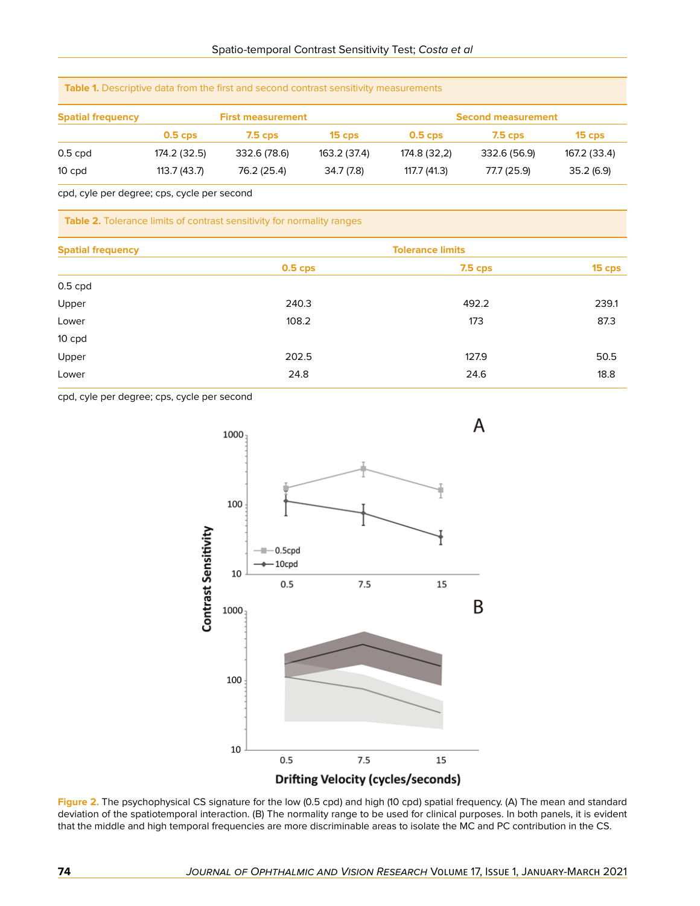| <b>Spatial frequency</b> | <b>First measurement</b> |              |              | <b>Second measurement</b> |              |              |
|--------------------------|--------------------------|--------------|--------------|---------------------------|--------------|--------------|
|                          | $0.5$ cps                | $7.5$ cps    | $15$ cps     | 0.5 <sub>cps</sub>        | $7.5$ cps    | $15$ cps     |
| $0.5$ cpd                | 174.2 (32.5)             | 332.6 (78.6) | 163.2 (37.4) | 174.8 (32,2)              | 332.6 (56.9) | 167.2 (33.4) |
| 10 cpd                   | 113.7(43.7)              | 76.2 (25.4)  | 34.7 (7.8)   | 117.7 (41.3)              | 77.7 (25.9)  | 35.2(6.9)    |

cpd, cyle per degree; cps, cycle per second

**Table 2.** Tolerance limits of contrast sensitivity for normality ranges

**Table 1.** Descriptive data from the first and second contrast sensitivity measurements

| <b>Spatial frequency</b> | <b>Tolerance limits</b> |                |        |  |  |
|--------------------------|-------------------------|----------------|--------|--|--|
|                          | $0.5$ cps               | <b>7.5 cps</b> | 15 cps |  |  |
| $0.5$ cpd                |                         |                |        |  |  |
| Upper                    | 240.3                   | 492.2          | 239.1  |  |  |
| Lower                    | 108.2                   | 173            | 87.3   |  |  |
| 10 cpd                   |                         |                |        |  |  |
| Upper                    | 202.5                   | 127.9          | 50.5   |  |  |
| Lower                    | 24.8                    | 24.6           | 18.8   |  |  |

cpd, cyle per degree; cps, cycle per second



**Figure 2.** The psychophysical CS signature for the low (0.5 cpd) and high (10 cpd) spatial frequency. (A) The mean and standard deviation of the spatiotemporal interaction. (B) The normality range to be used for clinical purposes. In both panels, it is evident that the middle and high temporal frequencies are more discriminable areas to isolate the MC and PC contribution in the CS.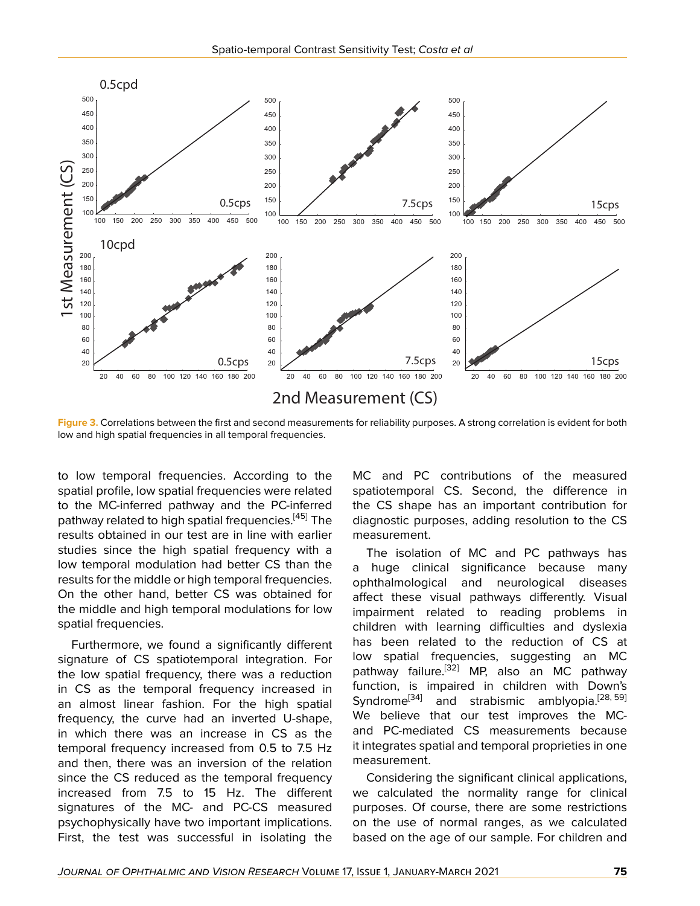

**Figure 3.** Correlations between the first and second measurements for reliability purposes. A strong correlation is evident for both low and high spatial frequencies in all temporal frequencies.

to low temporal frequencies. According to the spatial profile, low spatial frequencies were related to the MC-inferred pathway and the PC-inferred pathway related to high spatial frequencies.<sup>[\[45](#page-8-4)]</sup> The results obtained in our test are in line with earlier studies since the high spatial frequency with a low temporal modulation had better CS than the results for the middle or high temporal frequencies. On the other hand, better CS was obtained for the middle and high temporal modulations for low spatial frequencies.

Furthermore, we found a significantly different signature of CS spatiotemporal integration. For the low spatial frequency, there was a reduction in CS as the temporal frequency increased in an almost linear fashion. For the high spatial frequency, the curve had an inverted U-shape, in which there was an increase in CS as the temporal frequency increased from 0.5 to 7.5 Hz and then, there was an inversion of the relation since the CS reduced as the temporal frequency increased from 7.5 to 15 Hz. The different signatures of the MC- and PC-CS measured psychophysically have two important implications. First, the test was successful in isolating the

MC and PC contributions of the measured spatiotemporal CS. Second, the difference in the CS shape has an important contribution for diagnostic purposes, adding resolution to the CS measurement.

The isolation of MC and PC pathways has a huge clinical significance because many ophthalmological and neurological diseases affect these visual pathways differently. Visual impairment related to reading problems in children with learning difficulties and dyslexia has been related to the reduction of CS at low spatial frequencies, suggesting an MC pathway failure.<sup>[[32\]](#page-8-18)</sup> MP, also an MC pathway function, is impaired in children with Down's Syndrome<sup>[\[34\]](#page-8-19)</sup> and strabismic amblyopia.<sup>[[28,](#page-8-20) [59](#page-8-21)]</sup> We believe that our test improves the MCand PC-mediated CS measurements because it integrates spatial and temporal proprieties in one measurement.

Considering the significant clinical applications, we calculated the normality range for clinical purposes. Of course, there are some restrictions on the use of normal ranges, as we calculated based on the age of our sample. For children and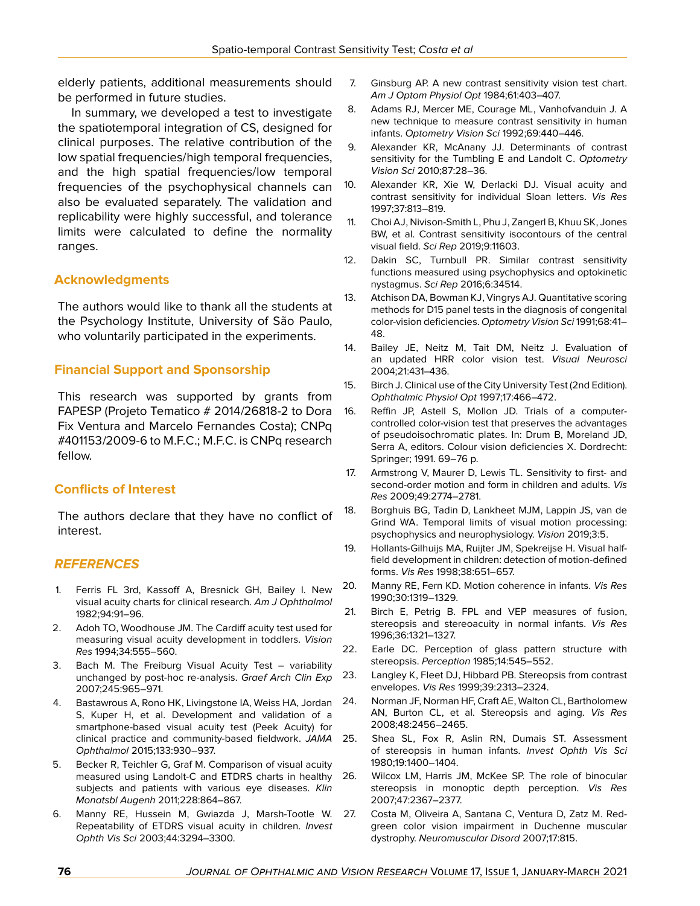elderly patients, additional measurements should be performed in future studies.

In summary, we developed a test to investigate the spatiotemporal integration of CS, designed for clinical purposes. The relative contribution of the low spatial frequencies/high temporal frequencies, and the high spatial frequencies/low temporal frequencies of the psychophysical channels can also be evaluated separately. The validation and replicability were highly successful, and tolerance limits were calculated to define the normality ranges.

# **Acknowledgments**

The authors would like to thank all the students at the Psychology Institute, University of São Paulo, who voluntarily participated in the experiments.

# **Financial Support and Sponsorship**

This research was supported by grants from FAPESP (Projeto Tematico # 2014/26818-2 to Dora Fix Ventura and Marcelo Fernandes Costa); CNPq #401153/2009-6 to M.F.C.; M.F.C. is CNPq research fellow.

# **Conflicts of Interest**

The authors declare that they have no conflict of interest.

# *REFERENCES*

- <span id="page-7-0"></span>1. Ferris FL 3rd, Kassoff A, Bresnick GH, Bailey I. New visual acuity charts for clinical research. *Am J Ophthalmol* 1982;94:91–96.
- 2. Adoh TO, Woodhouse JM. The Cardiff acuity test used for measuring visual acuity development in toddlers. *Vision Res* 1994;34:555–560.
- 3. Bach M. The Freiburg Visual Acuity Test variability unchanged by post-hoc re-analysis. *Graef Arch Clin Exp* 2007;245:965–971.
- 4. Bastawrous A, Rono HK, Livingstone IA, Weiss HA, Jordan S, Kuper H, et al. Development and validation of a smartphone-based visual acuity test (Peek Acuity) for clinical practice and community-based fieldwork. *JAMA Ophthalmol* 2015;133:930–937.
- 5. Becker R, Teichler G, Graf M. Comparison of visual acuity measured using Landolt-C and ETDRS charts in healthy subjects and patients with various eye diseases. *Klin Monatsbl Augenh* 2011;228:864–867.
- <span id="page-7-1"></span>6. Manny RE, Hussein M, Gwiazda J, Marsh-Tootle W. Repeatability of ETDRS visual acuity in children. *Invest Ophth Vis Sci* 2003;44:3294–3300.
- <span id="page-7-2"></span>7. Ginsburg AP. A new contrast sensitivity vision test chart. *Am J Optom Physiol Opt* 1984;61:403–407.
- <span id="page-7-11"></span>8. Adams RJ, Mercer ME, Courage ML, Vanhofvanduin J. A new technique to measure contrast sensitivity in human infants. *Optometry Vision Sci* 1992;69:440–446.
- <span id="page-7-12"></span>9. Alexander KR, McAnany JJ. Determinants of contrast sensitivity for the Tumbling E and Landolt C. *Optometry Vision Sci* 2010;87:28–36.
- 10. Alexander KR, Xie W, Derlacki DJ. Visual acuity and contrast sensitivity for individual Sloan letters. *Vis Res* 1997;37:813–819.
- 11. Choi AJ, Nivison-Smith L, Phu J, Zangerl B, Khuu SK, Jones BW, et al. Contrast sensitivity isocontours of the central visual field. *Sci Rep* 2019;9:11603.
- <span id="page-7-3"></span>12. Dakin SC, Turnbull PR. Similar contrast sensitivity functions measured using psychophysics and optokinetic nystagmus. *Sci Rep* 2016;6:34514.
- <span id="page-7-4"></span>13. Atchison DA, Bowman KJ, Vingrys AJ. Quantitative scoring methods for D15 panel tests in the diagnosis of congenital color-vision deficiencies. *Optometry Vision Sci* 1991;68:41– 48.
- 14. Bailey JE, Neitz M, Tait DM, Neitz J. Evaluation of an updated HRR color vision test. *Visual Neurosci* 2004;21:431–436.
- 15. Birch J. Clinical use of the City University Test (2nd Edition). *Ophthalmic Physiol Opt* 1997;17:466–472.
- <span id="page-7-5"></span>16. Reffin JP, Astell S, Mollon JD. Trials of a computercontrolled color-vision test that preserves the advantages of pseudoisochromatic plates. In: Drum B, Moreland JD, Serra A, editors. Colour vision deficiencies X. Dordrecht: Springer; 1991. 69–76 p.
- <span id="page-7-6"></span>17. Armstrong V, Maurer D, Lewis TL. Sensitivity to first- and second-order motion and form in children and adults. *Vis Res* 2009;49:2774–2781.
- 18. Borghuis BG, Tadin D, Lankheet MJM, Lappin JS, van de Grind WA. Temporal limits of visual motion processing: psychophysics and neurophysiology. *Vision* 2019;3:5.
- 19. Hollants-Gilhuijs MA, Ruijter JM, Spekreijse H. Visual halffield development in children: detection of motion-defined forms. *Vis Res* 1998;38:651–657.
- <span id="page-7-7"></span>20. Manny RE, Fern KD. Motion coherence in infants. *Vis Res* 1990;30:1319–1329.
- <span id="page-7-8"></span>21. Birch E, Petrig B. FPL and VEP measures of fusion, stereopsis and stereoacuity in normal infants. *Vis Res* 1996;36:1321–1327.
- 22. Earle DC. Perception of glass pattern structure with stereopsis. *Perception* 1985;14:545–552.
- 23. Langley K, Fleet DJ, Hibbard PB. Stereopsis from contrast envelopes. *Vis Res* 1999;39:2313–2324.
- 24. Norman JF, Norman HF, Craft AE, Walton CL, Bartholomew AN, Burton CL, et al. Stereopsis and aging. *Vis Res* 2008;48:2456–2465.
	- Shea SL, Fox R, Aslin RN, Dumais ST. Assessment of stereopsis in human infants. *Invest Ophth Vis Sci* 1980;19:1400–1404.
- <span id="page-7-9"></span>26. Wilcox LM, Harris JM, McKee SP. The role of binocular stereopsis in monoptic depth perception. *Vis Res* 2007;47:2367–2377.
- <span id="page-7-10"></span>27. Costa M, Oliveira A, Santana C, Ventura D, Zatz M. Redgreen color vision impairment in Duchenne muscular dystrophy. *Neuromuscular Disord* 2007;17:815.